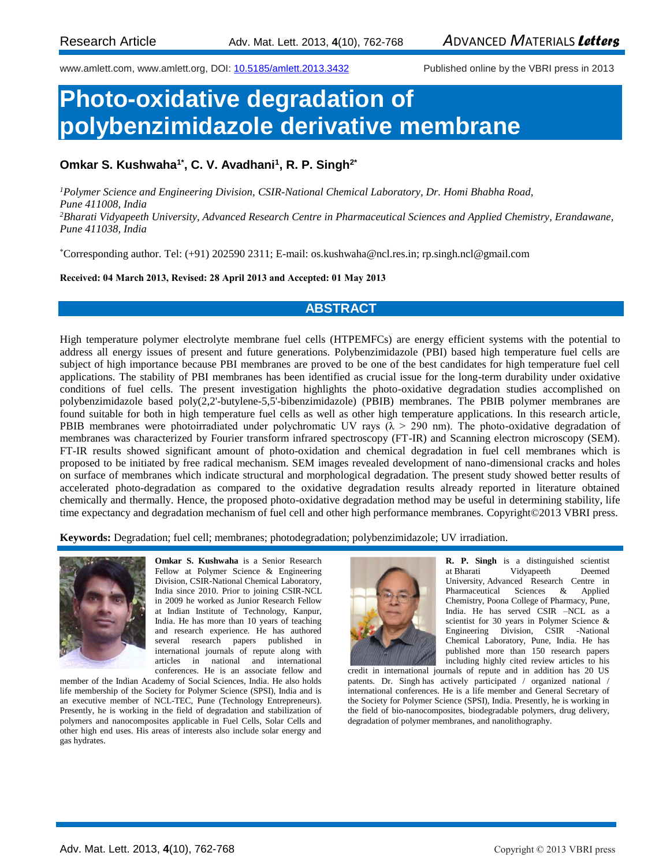www.amlett.com, www.amlett.org, DOI[: 10.5185/amlett.2013.3432](http://dx.doi.org/10.5185/amlett.2013.3432) Published online by the VBRI press in 2013

# **Photo-oxidative degradation of polybenzimidazole derivative membrane**

## **Omkar S. Kushwaha1\*, C. V. Avadhani<sup>1</sup> , R. P. Singh2\***

*<sup>1</sup>Polymer Science and Engineering Division, CSIR-National Chemical Laboratory, Dr. Homi Bhabha Road, Pune 411008, India <sup>2</sup>Bharati Vidyapeeth University, Advanced Research Centre in Pharmaceutical Sciences and Applied Chemistry, Erandawane, Pune 411038, India*

\*Corresponding author. Tel: (+91) 202590 2311; E-mail: os.kushwaha@ncl.res.in; rp.singh.ncl@gmail.com

**Received: 04 March 2013, Revised: 28 April 2013 and Accepted: 01 May 2013**

### **ABSTRACT**

High temperature polymer electrolyte membrane fuel cells (HTPEMFCs) are energy efficient systems with the potential to address all energy issues of present and future generations. Polybenzimidazole (PBI) based high temperature fuel cells are subject of high importance because PBI membranes are proved to be one of the best candidates for high temperature fuel cell applications. The stability of PBI membranes has been identified as crucial issue for the long-term durability under oxidative conditions of fuel cells. The present investigation highlights the photo-oxidative degradation studies accomplished on polybenzimidazole based poly(2,2'-butylene-5,5'-bibenzimidazole) (PBIB) membranes. The PBIB polymer membranes are found suitable for both in high temperature fuel cells as well as other high temperature applications. In this research article, PBIB membranes were photoirradiated under polychromatic UV rays ( $\lambda > 290$  nm). The photo-oxidative degradation of membranes was characterized by Fourier transform infrared spectroscopy (FT-IR) and Scanning electron microscopy (SEM). FT-IR results showed significant amount of photo-oxidation and chemical degradation in fuel cell membranes which is proposed to be initiated by free radical mechanism. SEM images revealed development of nano-dimensional cracks and holes on surface of membranes which indicate structural and morphological degradation. The present study showed better results of accelerated photo-degradation as compared to the oxidative degradation results already reported in literature obtained chemically and thermally. Hence, the proposed photo-oxidative degradation method may be useful in determining stability, life time expectancy and degradation mechanism of fuel cell and other high performance membranes. Copyright©2013 VBRI press.

**Keywords:** Degradation; fuel cell; membranes; photodegradation; polybenzimidazole; UV irradiation.



**Omkar S. Kushwaha** is a Senior Research Fellow at Polymer Science & Engineering Division, CSIR-National Chemical Laboratory, India since 2010. Prior to joining CSIR-NCL in 2009 he worked as Junior Research Fellow at Indian Institute of Technology, Kanpur, India. He has more than 10 years of teaching and research experience. He has authored several research papers published in international journals of repute along with articles in national and international conferences. He is an associate fellow and

member of the Indian Academy of Social Sciences, India. He also holds life membership of the Society for Polymer Science (SPSI), India and is an executive member of NCL-TEC, Pune (Technology Entrepreneurs). Presently, he is working in the field of degradation and stabilization of polymers and nanocomposites applicable in Fuel Cells, Solar Cells and other high end uses. His areas of interests also include solar energy and gas hydrates.



**R. P. Singh** is a distinguished scientist at Bharati Vidyapeeth Deemed University, Advanced Research Centre in Pharmaceutical Sciences & Applied Chemistry, Poona College of Pharmacy, Pune, India. He has served CSIR –NCL as a scientist for 30 years in Polymer Science & Engineering Division, CSIR -National Chemical Laboratory, Pune, India. He has published more than 150 research papers including highly cited review articles to his

credit in international journals of repute and in addition has 20 US patents. Dr. Singh has actively participated / organized national / international conferences. He is a life member and General Secretary of the Society for Polymer Science (SPSI), India. Presently, he is working in the field of bio-nanocomposites, biodegradable polymers, drug delivery, degradation of polymer membranes, and nanolithography.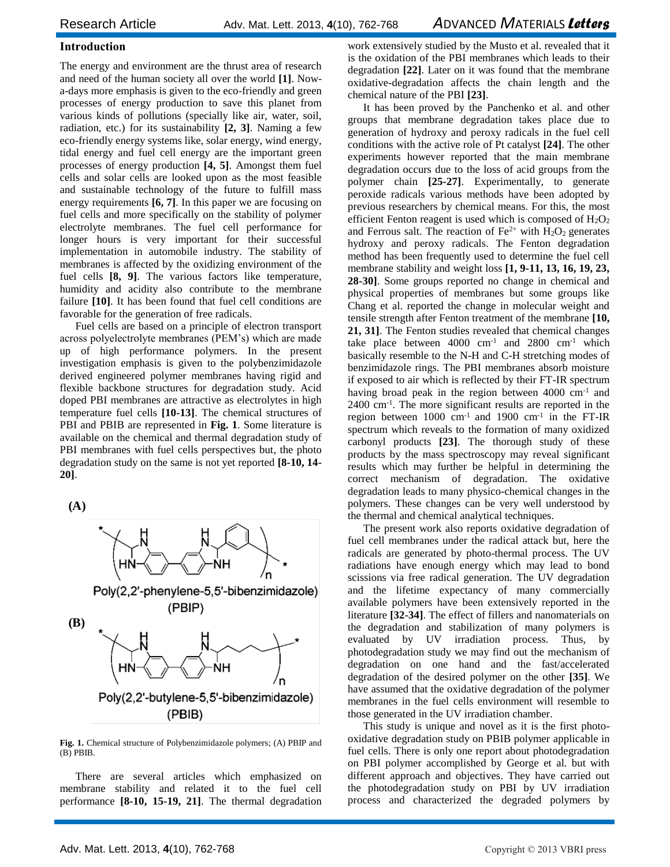#### **Introduction**

The energy and environment are the thrust area of research and need of the human society all over the world **[1]**. Nowa-days more emphasis is given to the eco-friendly and green processes of energy production to save this planet from various kinds of pollutions (specially like air, water, soil, radiation, etc.) for its sustainability **[2, 3]**. Naming a few eco-friendly energy systems like, solar energy, wind energy, tidal energy and fuel cell energy are the important green processes of energy production **[4, 5]**. Amongst them fuel cells and solar cells are looked upon as the most feasible and sustainable technology of the future to fulfill mass energy requirements **[6, 7]**. In this paper we are focusing on fuel cells and more specifically on the stability of polymer electrolyte membranes. The fuel cell performance for longer hours is very important for their successful implementation in automobile industry. The stability of membranes is affected by the oxidizing environment of the fuel cells **[8, 9]**. The various factors like temperature, humidity and acidity also contribute to the membrane failure **[10]**. It has been found that fuel cell conditions are favorable for the generation of free radicals.

Fuel cells are based on a principle of electron transport across polyelectrolyte membranes (PEM's) which are made up of high performance polymers. In the present investigation emphasis is given to the polybenzimidazole derived engineered polymer membranes having rigid and flexible backbone structures for degradation study. Acid doped PBI membranes are attractive as electrolytes in high temperature fuel cells **[10-13]**. The chemical structures of PBI and PBIB are represented in **Fig. 1**. Some literature is available on the chemical and thermal degradation study of PBI membranes with fuel cells perspectives but, the photo degradation study on the same is not yet reported **[8-10, 14- 20]**.

**(A)**



**Fig. 1.** Chemical structure of Polybenzimidazole polymers; (A) PBIP and (B) PBIB.

There are several articles which emphasized on membrane stability and related it to the fuel cell performance **[8-10, 15-19, 21]**. The thermal degradation

work extensively studied by the Musto et al. revealed that it is the oxidation of the PBI membranes which leads to their degradation **[22]**. Later on it was found that the membrane oxidative-degradation affects the chain length and the chemical nature of the PBI **[23]**.

It has been proved by the Panchenko et al. and other groups that membrane degradation takes place due to generation of hydroxy and peroxy radicals in the fuel cell conditions with the active role of Pt catalyst **[24]**. The other experiments however reported that the main membrane degradation occurs due to the loss of acid groups from the polymer chain **[25-27]**. Experimentally, to generate peroxide radicals various methods have been adopted by previous researchers by chemical means. For this, the most efficient Fenton reagent is used which is composed of  $H_2O_2$ and Ferrous salt. The reaction of  $Fe^{2+}$  with  $H_2O_2$  generates hydroxy and peroxy radicals. The Fenton degradation method has been frequently used to determine the fuel cell membrane stability and weight loss **[1, 9-11, 13, 16, 19, 23, 28-30]**. Some groups reported no change in chemical and physical properties of membranes but some groups like Chang et al. reported the change in molecular weight and tensile strength after Fenton treatment of the membrane **[10, 21, 31]**. The Fenton studies revealed that chemical changes take place between 4000 cm-1 and 2800 cm-1 which basically resemble to the N-H and C-H stretching modes of benzimidazole rings. The PBI membranes absorb moisture if exposed to air which is reflected by their FT-IR spectrum having broad peak in the region between 4000 cm<sup>-1</sup> and 2400 cm-1 . The more significant results are reported in the region between  $1000 \text{ cm}^{-1}$  and  $1900 \text{ cm}^{-1}$  in the FT-IR spectrum which reveals to the formation of many oxidized carbonyl products **[23]**. The thorough study of these products by the mass spectroscopy may reveal significant results which may further be helpful in determining the correct mechanism of degradation. The oxidative degradation leads to many physico-chemical changes in the polymers. These changes can be very well understood by the thermal and chemical analytical techniques.

The present work also reports oxidative degradation of fuel cell membranes under the radical attack but, here the radicals are generated by photo-thermal process. The UV radiations have enough energy which may lead to bond scissions via free radical generation. The UV degradation and the lifetime expectancy of many commercially available polymers have been extensively reported in the literature **[32-34]**. The effect of fillers and nanomaterials on the degradation and stabilization of many polymers is evaluated by UV irradiation process. Thus, by photodegradation study we may find out the mechanism of degradation on one hand and the fast/accelerated degradation of the desired polymer on the other **[35]**. We have assumed that the oxidative degradation of the polymer membranes in the fuel cells environment will resemble to those generated in the UV irradiation chamber.

This study is unique and novel as it is the first photooxidative degradation study on PBIB polymer applicable in fuel cells. There is only one report about photodegradation on PBI polymer accomplished by George et al. but with different approach and objectives. They have carried out the photodegradation study on PBI by UV irradiation process and characterized the degraded polymers by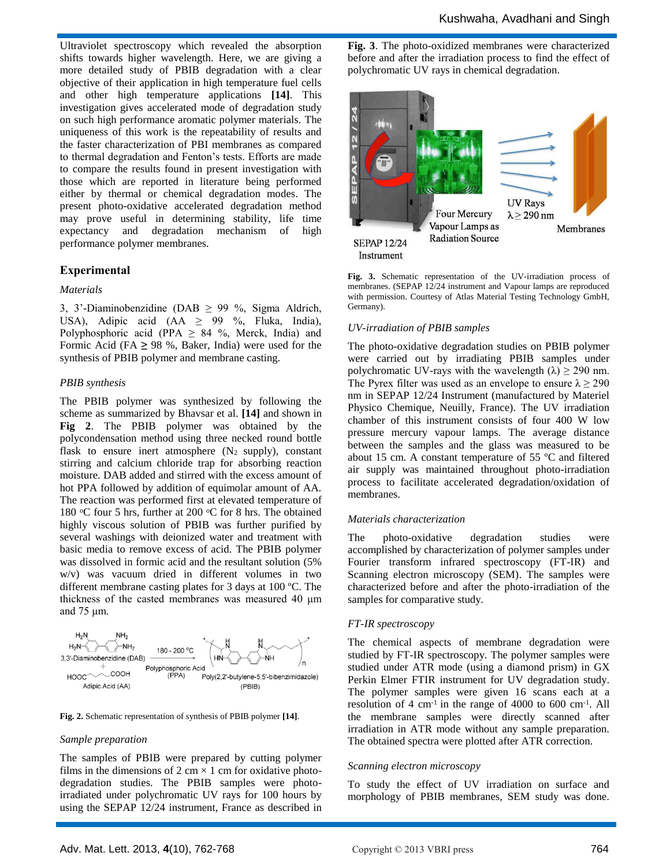Ultraviolet spectroscopy which revealed the absorption shifts towards higher wavelength. Here, we are giving a more detailed study of PBIB degradation with a clear objective of their application in high temperature fuel cells and other high temperature applications **[14]**. This investigation gives accelerated mode of degradation study on such high performance aromatic polymer materials. The uniqueness of this work is the repeatability of results and the faster characterization of PBI membranes as compared to thermal degradation and Fenton's tests. Efforts are made to compare the results found in present investigation with those which are reported in literature being performed either by thermal or chemical degradation modes. The present photo-oxidative accelerated degradation method may prove useful in determining stability, life time expectancy and degradation mechanism of high performance polymer membranes.

#### **Experimental**

#### *Materials*

3, 3'-Diaminobenzidine (DAB  $\geq$  99 %, Sigma Aldrich, USA), Adipic acid (AA  $\ge$  99 %, Fluka, India), Polyphosphoric acid (PPA  $\geq$  84 %, Merck, India) and Formic Acid (FA **≥** 98 %, Baker, India) were used for the synthesis of PBIB polymer and membrane casting.

#### *PBIB synthesis*

The PBIB polymer was synthesized by following the scheme as summarized by Bhavsar et al. **[14]** and shown in **Fig 2**. The PBIB polymer was obtained by the polycondensation method using three necked round bottle flask to ensure inert atmosphere  $(N_2 \text{ supply})$ , constant stirring and calcium chloride trap for absorbing reaction moisture. DAB added and stirred with the excess amount of hot PPA followed by addition of equimolar amount of AA. The reaction was performed first at elevated temperature of 180 °C four 5 hrs, further at 200 °C for 8 hrs. The obtained highly viscous solution of PBIB was further purified by several washings with deionized water and treatment with basic media to remove excess of acid. The PBIB polymer was dissolved in formic acid and the resultant solution (5% w/v) was vacuum dried in different volumes in two different membrane casting plates for 3 days at 100 ºC. The thickness of the casted membranes was measured 40 μm and 75 μm.



**Fig. 2.** Schematic representation of synthesis of PBIB polymer **[14]**.

#### *Sample preparation*

The samples of PBIB were prepared by cutting polymer films in the dimensions of 2 cm  $\times$  1 cm for oxidative photodegradation studies. The PBIB samples were photoirradiated under polychromatic UV rays for 100 hours by using the SEPAP 12/24 instrument, France as described in **Fig. 3**. The photo-oxidized membranes were characterized before and after the irradiation process to find the effect of polychromatic UV rays in chemical degradation.



**Fig. 3.** Schematic representation of the UV-irradiation process of membranes. (SEPAP 12/24 instrument and Vapour lamps are reproduced with permission. Courtesy of Atlas Material Testing Technology GmbH, Germany).

#### *UV-irradiation of PBIB samples*

The photo-oxidative degradation studies on PBIB polymer were carried out by irradiating PBIB samples under polychromatic UV-rays with the wavelength  $(\lambda) \ge 290$  nm. The Pyrex filter was used as an envelope to ensure  $\lambda \geq 290$ nm in SEPAP 12/24 Instrument (manufactured by Materiel Physico Chemique, Neuilly, France). The UV irradiation chamber of this instrument consists of four 400 W low pressure mercury vapour lamps. The average distance between the samples and the glass was measured to be about 15 cm. A constant temperature of 55 ºC and filtered air supply was maintained throughout photo-irradiation process to facilitate accelerated degradation/oxidation of membranes.

#### *Materials characterization*

The photo-oxidative degradation studies were accomplished by characterization of polymer samples under Fourier transform infrared spectroscopy (FT-IR) and Scanning electron microscopy (SEM). The samples were characterized before and after the photo-irradiation of the samples for comparative study.

#### *FT-IR spectroscopy*

The chemical aspects of membrane degradation were studied by FT-IR spectroscopy. The polymer samples were studied under ATR mode (using a diamond prism) in [GX](http://newhome.ncl.res.in/scdataApp/instbook/booking.asp?ino=41&dt=7/18/2012)  [Perkin Elmer](http://newhome.ncl.res.in/scdataApp/instbook/booking.asp?ino=41&dt=7/18/2012) FTIR instrument for UV degradation study. The polymer samples were given 16 scans each at a resolution of  $4 \text{ cm}^{-1}$  in the range of  $4000$  to  $600 \text{ cm}^{-1}$ . All the membrane samples were directly scanned after irradiation in ATR mode without any sample preparation. The obtained spectra were plotted after ATR correction.

#### *Scanning electron microscopy*

To study the effect of UV irradiation on surface and morphology of PBIB membranes, SEM study was done.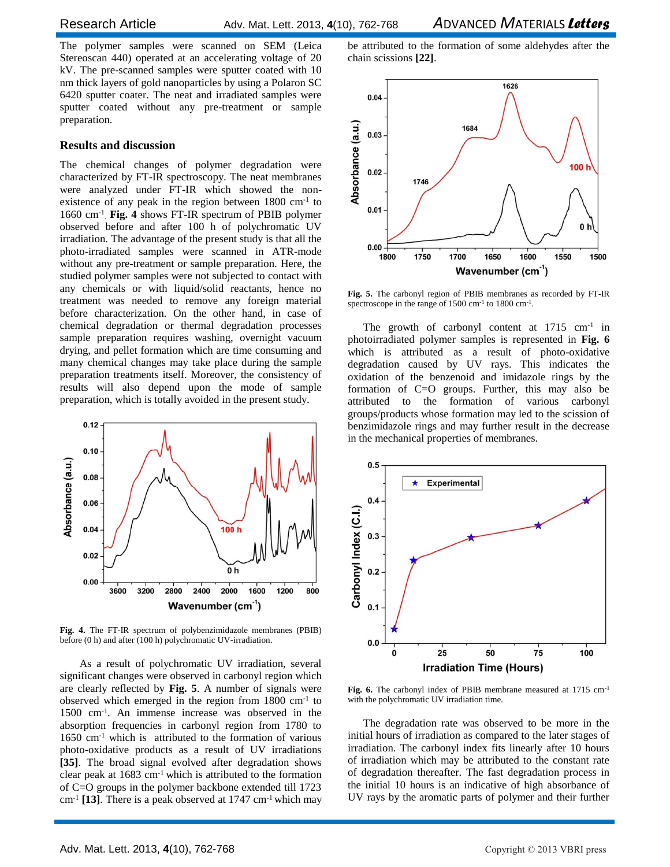The polymer samples were scanned on SEM (Leica Stereoscan 440) operated at an accelerating voltage of 20 kV. The pre-scanned samples were sputter coated with 10 nm thick layers of gold nanoparticles by using a Polaron SC 6420 sputter coater. The neat and irradiated samples were sputter coated without any pre-treatment or sample preparation.

#### **Results and discussion**

The chemical changes of polymer degradation were characterized by FT-IR spectroscopy. The neat membranes were analyzed under FT-IR which showed the nonexistence of any peak in the region between 1800 cm<sup>-1</sup> to 1660 cm-1 . **Fig. 4** shows FT-IR spectrum of PBIB polymer observed before and after 100 h of polychromatic UV irradiation. The advantage of the present study is that all the photo-irradiated samples were scanned in ATR-mode without any pre-treatment or sample preparation. Here, the studied polymer samples were not subjected to contact with any chemicals or with liquid/solid reactants, hence no treatment was needed to remove any foreign material before characterization. On the other hand, in case of chemical degradation or thermal degradation processes sample preparation requires washing, overnight vacuum drying, and pellet formation which are time consuming and many chemical changes may take place during the sample preparation treatments itself. Moreover, the consistency of results will also depend upon the mode of sample preparation, which is totally avoided in the present study.



**Fig. 4.** The FT-IR spectrum of polybenzimidazole membranes (PBIB) before (0 h) and after (100 h) polychromatic UV-irradiation.

As a result of polychromatic UV irradiation, several significant changes were observed in carbonyl region which are clearly reflected by **Fig. 5**. A number of signals were observed which emerged in the region from 1800 cm-1 to 1500 cm-1 . An immense increase was observed in the absorption frequencies in carbonyl region from 1780 to 1650 cm-1 which is attributed to the formation of various photo-oxidative products as a result of UV irradiations **[35]**. The broad signal evolved after degradation shows clear peak at 1683 cm-1 which is attributed to the formation of C=O groups in the polymer backbone extended till 1723 cm-1 **[13]**. There is a peak observed at 1747 cm-1 which may

be attributed to the formation of some aldehydes after the chain scissions **[22]**.



**Fig. 5.** The carbonyl region of PBIB membranes as recorded by FT-IR spectroscope in the range of 1500 cm<sup>-1</sup> to 1800 cm<sup>-1</sup>.

The growth of carbonyl content at  $1715 \text{ cm}^{-1}$  in photoirradiated polymer samples is represented in **Fig. 6** which is attributed as a result of photo-oxidative degradation caused by UV rays. This indicates the oxidation of the benzenoid and imidazole rings by the formation of C=O groups. Further, this may also be attributed to the formation of various carbonyl groups/products whose formation may led to the scission of benzimidazole rings and may further result in the decrease in the mechanical properties of membranes.



**Fig. 6.** The carbonyl index of PBIB membrane measured at 1715 cm-1 with the polychromatic UV irradiation time.

The degradation rate was observed to be more in the initial hours of irradiation as compared to the later stages of irradiation. The carbonyl index fits linearly after 10 hours of irradiation which may be attributed to the constant rate of degradation thereafter. The fast degradation process in the initial 10 hours is an indicative of high absorbance of UV rays by the aromatic parts of polymer and their further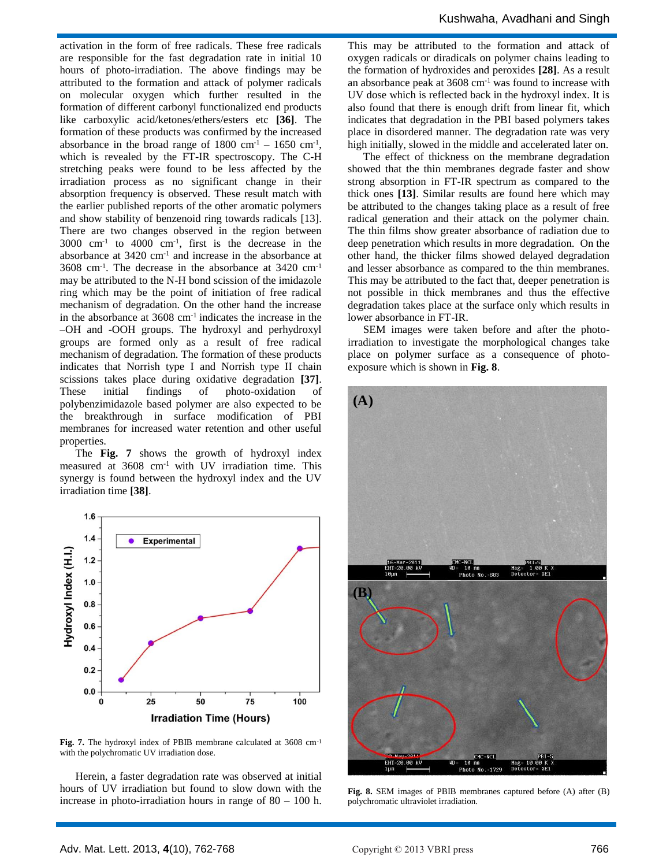activation in the form of free radicals. These free radicals are responsible for the fast degradation rate in initial 10 hours of photo-irradiation. The above findings may be attributed to the formation and attack of polymer radicals on molecular oxygen which further resulted in the formation of different carbonyl functionalized end products like carboxylic acid/ketones/ethers/esters etc **[36]**. The formation of these products was confirmed by the increased absorbance in the broad range of  $1800 \text{ cm}^{-1} - 1650 \text{ cm}^{-1}$ , which is revealed by the FT-IR spectroscopy. The C-H stretching peaks were found to be less affected by the irradiation process as no significant change in their absorption frequency is observed. These result match with the earlier published reports of the other aromatic polymers and show stability of benzenoid ring towards radicals [13]. There are two changes observed in the region between  $3000 \text{ cm}^{-1}$  to  $4000 \text{ cm}^{-1}$ , first is the decrease in the absorbance at  $3420 \text{ cm}^{-1}$  and increase in the absorbance at 3608 cm-1 . The decrease in the absorbance at 3420 cm-1 may be attributed to the N-H bond scission of the imidazole ring which may be the point of initiation of free radical mechanism of degradation. On the other hand the increase in the absorbance at 3608 cm-1 indicates the increase in the –OH and -OOH groups. The hydroxyl and perhydroxyl groups are formed only as a result of free radical mechanism of degradation. The formation of these products indicates that Norrish type I and Norrish type II chain scissions takes place during oxidative degradation **[37]**. These initial findings of photo-oxidation of polybenzimidazole based polymer are also expected to be the breakthrough in surface modification of PBI membranes for increased water retention and other useful properties.

The **Fig. 7** shows the growth of hydroxyl index measured at 3608 cm<sup>-1</sup> with UV irradiation time. This synergy is found between the hydroxyl index and the UV irradiation time **[38]**.



**Fig. 7.** The hydroxyl index of PBIB membrane calculated at 3608 cm-1 with the polychromatic UV irradiation dose.

Herein, a faster degradation rate was observed at initial hours of UV irradiation but found to slow down with the increase in photo-irradiation hours in range of 80 – 100 h. This may be attributed to the formation and attack of oxygen radicals or diradicals on polymer chains leading to the formation of hydroxides and peroxides **[28]**. As a result an absorbance peak at 3608 cm-1 was found to increase with UV dose which is reflected back in the hydroxyl index. It is also found that there is enough drift from linear fit, which indicates that degradation in the PBI based polymers takes place in disordered manner. The degradation rate was very high initially, slowed in the middle and accelerated later on.

The effect of thickness on the membrane degradation showed that the thin membranes degrade faster and show strong absorption in FT-IR spectrum as compared to the thick ones **[13]**. Similar results are found here which may be attributed to the changes taking place as a result of free radical generation and their attack on the polymer chain. The thin films show greater absorbance of radiation due to deep penetration which results in more degradation. On the other hand, the thicker films showed delayed degradation and lesser absorbance as compared to the thin membranes. This may be attributed to the fact that, deeper penetration is not possible in thick membranes and thus the effective degradation takes place at the surface only which results in lower absorbance in FT-IR.

SEM images were taken before and after the photoirradiation to investigate the morphological changes take place on polymer surface as a consequence of photoexposure which is shown in **Fig. 8**.



**Fig. 8.** SEM images of PBIB membranes captured before (A) after (B) polychromatic ultraviolet irradiation.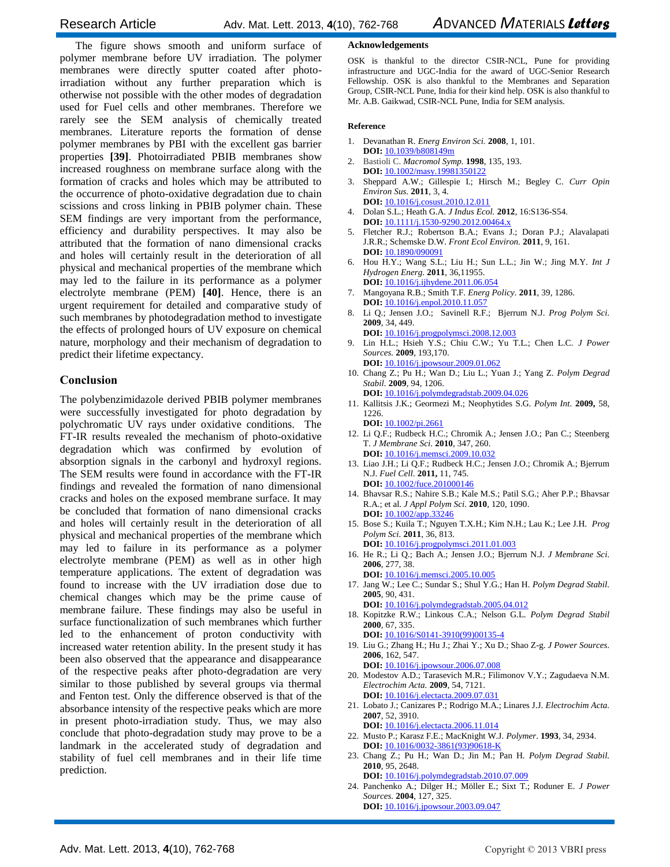The figure shows smooth and uniform surface of polymer membrane before UV irradiation. The polymer membranes were directly sputter coated after photoirradiation without any further preparation which is otherwise not possible with the other modes of degradation used for Fuel cells and other membranes. Therefore we rarely see the SEM analysis of chemically treated membranes. Literature reports the formation of dense polymer membranes by PBI with the excellent gas barrier properties **[39]**. Photoirradiated PBIB membranes show increased roughness on membrane surface along with the formation of cracks and holes which may be attributed to the occurrence of photo-oxidative degradation due to chain scissions and cross linking in PBIB polymer chain. These SEM findings are very important from the performance, efficiency and durability perspectives. It may also be attributed that the formation of nano dimensional cracks and holes will certainly result in the deterioration of all physical and mechanical properties of the membrane which may led to the failure in its performance as a polymer electrolyte membrane (PEM) **[40]**. Hence, there is an urgent requirement for detailed and comparative study of such membranes by photodegradation method to investigate the effects of prolonged hours of UV exposure on chemical nature, morphology and their mechanism of degradation to predict their lifetime expectancy.

### **Conclusion**

The polybenzimidazole derived PBIB polymer membranes were successfully investigated for photo degradation by polychromatic UV rays under oxidative conditions. The FT-IR results revealed the mechanism of photo-oxidative degradation which was confirmed by evolution of absorption signals in the carbonyl and hydroxyl regions. The SEM results were found in accordance with the FT-IR findings and revealed the formation of nano dimensional cracks and holes on the exposed membrane surface. It may be concluded that formation of nano dimensional cracks and holes will certainly result in the deterioration of all physical and mechanical properties of the membrane which may led to failure in its performance as a polymer electrolyte membrane (PEM) as well as in other high temperature applications. The extent of degradation was found to increase with the UV irradiation dose due to chemical changes which may be the prime cause of membrane failure. These findings may also be useful in surface functionalization of such membranes which further led to the enhancement of proton conductivity with increased water retention ability. In the present study it has been also observed that the appearance and disappearance of the respective peaks after photo-degradation are very similar to those published by several groups via thermal and Fenton test. Only the difference observed is that of the absorbance intensity of the respective peaks which are more in present photo-irradiation study. Thus, we may also conclude that photo-degradation study may prove to be a landmark in the accelerated study of degradation and stability of fuel cell membranes and in their life time prediction.

#### **Acknowledgements**

OSK is thankful to the director CSIR-NCL, Pune for providing infrastructure and UGC-India for the award of UGC-Senior Research Fellowship. OSK is also thankful to the Membranes and Separation Group, CSIR-NCL Pune, India for their kind help. OSK is also thankful to Mr. A.B. Gaikwad, CSIR-NCL Pune, India for SEM analysis.

#### **Reference**

- 1. Devanathan R. *Energ Environ Sci.* **2008**, 1, 101. **DOI:** 10.1039/b808149m
- 2. Bastioli C. *Macromol Symp.* **1998**, 135, 193. **DOI:** 10.1002/masy.19981350122
- 3. Sheppard A.W.; Gillespie I.; Hirsch M.; Begley C. *Curr Opin Environ Sus.* **2011**, 3, 4.
- **DOI:** 10.1016/j.cosust.2010.12.011 4. Dolan S.L.; Heath G.A. *J Indus Ecol.* **2012**, 16:S136-S54. **DOI:** 10.1111/j.1530-9290.2012.00464.x
- 5. Fletcher R.J.; Robertson B.A.; Evans J.; Doran P.J.; Alavalapati J.R.R.; Schemske D.W. *Front Ecol Environ.* **2011**, 9, 161. **DOI:** 10.1890/090091
- 6. Hou H.Y.; Wang S.L.; Liu H.; Sun L.L.; Jin W.; Jing M.Y. *Int J Hydrogen Energ.* **2011**, 36,11955. **DOI:** 10.1016/j.ijhydene.2011.06.054
- 7. Mangoyana R.B.; Smith T.F. *Energ Policy.* **2011**, 39, 1286. **DOI:** 10.1016/j.enpol.2010.11.057
- 8. Li Q.; Jensen J.O.; Savinell R.F.; Bjerrum N.J. *Prog Polym Sci.* **2009**, 34, 449.
- **DOI:** 10.1016/j.progpolymsci.2008.12.003 9. Lin H.L.; Hsieh Y.S.; Chiu C.W.; Yu T.L.; Chen L.C. *J Power Sources.* **2009**, 193,170.
- **DOI:** 10.1016/j.jpowsour.2009.01.062 10. Chang Z.; Pu H.; Wan D.; Liu L.; Yuan J.; Yang Z. *Polym Degrad Stabil.* **2009**, 94, 1206.
- **DOI:** 10.1016/j.polymdegradstab.2009.04.026
- 11. Kallitsis J.K.; Geormezi M.; Neophytides S.G. *Polym Int.* **2009,** 58, 1226.

**DOI:** 10.1002/pi.2661

- 12. Li Q.F.; Rudbeck H.C.; Chromik A.; Jensen J.O.; Pan C.; Steenberg T. *J Membrane Sci.* **2010**, 347, 260. **DOI:** 10.1016/j.memsci.2009.10.032
- 13. Liao J.H.; Li Q.F.; Rudbeck H.C.; Jensen J.O.; Chromik A.; Bjerrum N.J. *Fuel Cell.* **2011,** 11, 745. **DOI:** 10.1002/fuce.201000146
- 14. Bhavsar R.S.; Nahire S.B.; Kale M.S.; Patil S.G.; Aher P.P.; Bhavsar R.A.; et al. *J Appl Polym Sci.* **2010**, 120, 1090. **DOI:** 10.1002/app.33246
- 15. Bose S.; Kuila T.; Nguyen T.X.H.; Kim N.H.; Lau K.; Lee J.H. *Prog Polym Sci.* **2011**, 36, 813.
- **DOI:** 10.1016/j.progpolymsci.2011.01.003 16. He R.; Li Q.; Bach A.; Jensen J.O.; Bjerrum N.J. *J Membrane Sci.* **2006**, 277, 38.
- **DOI:** 10.1016/j.memsci.2005.10.005 17. Jang W.; Lee C.; Sundar S.; Shul Y.G.; Han H. *Polym Degrad Stabil.* **2005**, 90, 431. **DOI:** 10.1016/j.polymdegradstab.2005.04.012
- 18. Kopitzke R.W.; Linkous C.A.; Nelson G.L. *Polym Degrad Stabil* **2000**, 67, 335.
- **DOI:** 10.1016/S0141-3910(99)00135-4
- 19. Liu G.; Zhang H.; Hu J.; Zhai Y.; Xu D.; Shao Z-g. *J Power Sources.* **2006**, 162, 547.
- **DOI:** 10.1016/j.jpowsour.2006.07.008 20. Modestov A.D.; Tarasevich M.R.; Filimonov V.Y.; Zagudaeva N.M. *Electrochim Acta.* **2009**, 54, 7121.
- **DOI:** 10.1016/j.electacta.2009.07.031 21. Lobato J.; Canizares P.; Rodrigo M.A.; Linares J.J. *Electrochim Acta.* **2007**, 52, 3910.
- **DOI:** 10.1016/j.electacta.2006.11.014 22. Musto P.; Karasz F.E.; MacKnight W.J. *Polymer*. **1993**, 34, 2934.
- **DOI:** 10.1016/0032-3861(93)90618-K
- 23. Chang Z.; Pu H.; Wan D.; Jin M.; Pan H. *Polym Degrad Stabil.* **2010**, 95, 2648. **DOI:** 10.1016/j.polymdegradstab.2010.07.009
- 24. Panchenko A.; Dilger H.; Möller E.; Sixt T.; Roduner E. *J Power Sources.* **2004**, 127, 325. **DOI:** 10.1016/j.jpowsour.2003.09.047